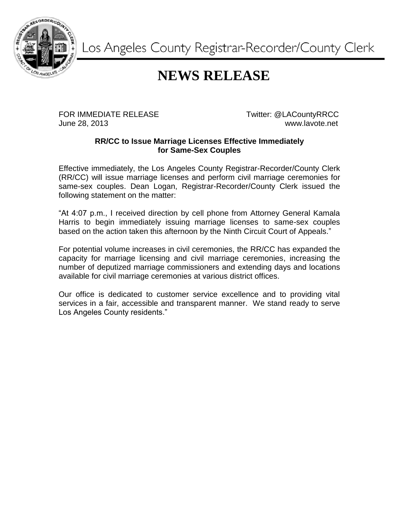

Los Angeles County Registrar-Recorder/County Clerk

## **NEWS RELEASE**

FOR IMMEDIATE RELEASE TWitter: @LACountyRRCC June 28, 2013 www.lavote.net

## **RR/CC to Issue Marriage Licenses Effective Immediately for Same-Sex Couples**

Effective immediately, the Los Angeles County Registrar-Recorder/County Clerk (RR/CC) will issue marriage licenses and perform civil marriage ceremonies for same-sex couples. Dean Logan, Registrar-Recorder/County Clerk issued the following statement on the matter:

"At 4:07 p.m., I received direction by cell phone from Attorney General Kamala Harris to begin immediately issuing marriage licenses to same-sex couples based on the action taken this afternoon by the Ninth Circuit Court of Appeals."

For potential volume increases in civil ceremonies, the RR/CC has expanded the capacity for marriage licensing and civil marriage ceremonies, increasing the number of deputized marriage commissioners and extending days and locations available for civil marriage ceremonies at various district offices.

Our office is dedicated to customer service excellence and to providing vital services in a fair, accessible and transparent manner. We stand ready to serve Los Angeles County residents."